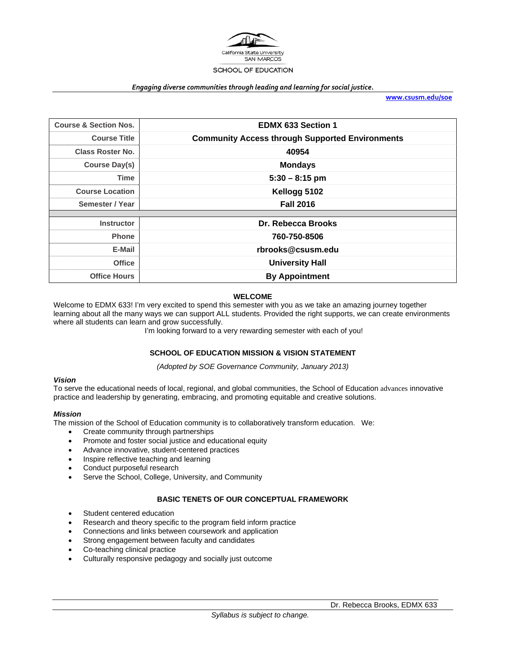

#### *Engaging diverse communities through leading and learning for social justice.*

**www.csusm.edu/soe**

| <b>Course &amp; Section Nos.</b> | <b>EDMX 633 Section 1</b>                              |  |  |
|----------------------------------|--------------------------------------------------------|--|--|
| <b>Course Title</b>              | <b>Community Access through Supported Environments</b> |  |  |
| <b>Class Roster No.</b>          | 40954                                                  |  |  |
| Course Day(s)                    | <b>Mondays</b>                                         |  |  |
| Time                             | $5:30 - 8:15$ pm                                       |  |  |
| <b>Course Location</b>           | Kellogg 5102                                           |  |  |
| Semester / Year                  | <b>Fall 2016</b>                                       |  |  |
|                                  |                                                        |  |  |
| <b>Instructor</b>                | Dr. Rebecca Brooks                                     |  |  |
| <b>Phone</b>                     | 760-750-8506                                           |  |  |
| E-Mail                           | rbrooks@csusm.edu                                      |  |  |
| <b>Office</b>                    | <b>University Hall</b>                                 |  |  |
| <b>Office Hours</b>              | <b>By Appointment</b>                                  |  |  |

#### **WELCOME**

Welcome to EDMX 633! I'm very excited to spend this semester with you as we take an amazing journey together learning about all the many ways we can support ALL students. Provided the right supports, we can create environments where all students can learn and grow successfully.

I'm looking forward to a very rewarding semester with each of you!

#### **SCHOOL OF EDUCATION MISSION & VISION STATEMENT**

*(Adopted by SOE Governance Community, January 2013)* 

#### *Vision*

To serve the educational needs of local, regional, and global communities, the School of Education advances innovative practice and leadership by generating, embracing, and promoting equitable and creative solutions.

#### *Mission*

The mission of the School of Education community is to collaboratively transform education. We:

- Create community through partnerships
- Promote and foster social justice and educational equity
- Advance innovative, student-centered practices
- Inspire reflective teaching and learning
- Conduct purposeful research
- Serve the School, College, University, and Community

#### **BASIC TENETS OF OUR CONCEPTUAL FRAMEWORK**

- Student centered education
- Research and theory specific to the program field inform practice
- Connections and links between coursework and application
- Strong engagement between faculty and candidates
- Co-teaching clinical practice
- Culturally responsive pedagogy and socially just outcome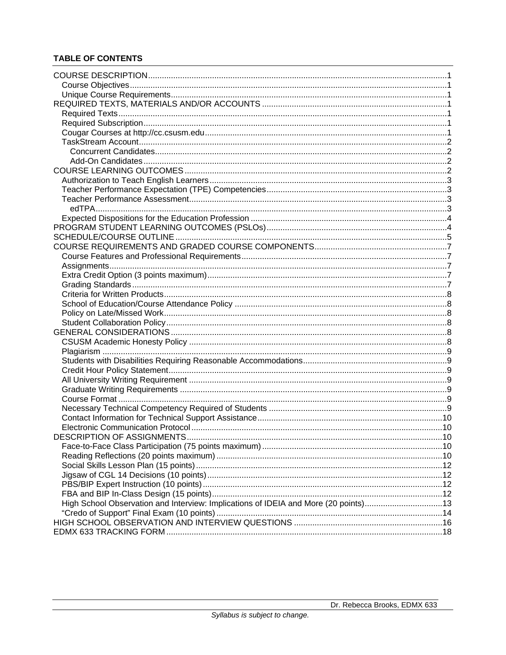# **TABLE OF CONTENTS**

| DESCRIPTION OF ASSIGNMENTS<br>. 10                                                  |  |
|-------------------------------------------------------------------------------------|--|
|                                                                                     |  |
|                                                                                     |  |
|                                                                                     |  |
|                                                                                     |  |
|                                                                                     |  |
|                                                                                     |  |
|                                                                                     |  |
| High School Observation and Interview: Implications of IDEIA and More (20 points)13 |  |
|                                                                                     |  |
|                                                                                     |  |
|                                                                                     |  |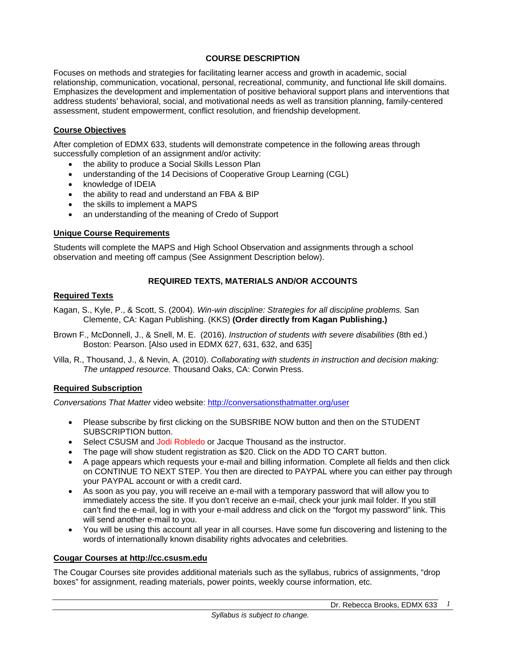## **COURSE DESCRIPTION**

Focuses on methods and strategies for facilitating learner access and growth in academic, social relationship, communication, vocational, personal, recreational, community, and functional life skill domains. Emphasizes the development and implementation of positive behavioral support plans and interventions that address students' behavioral, social, and motivational needs as well as transition planning, family-centered assessment, student empowerment, conflict resolution, and friendship development.

### **Course Objectives**

After completion of EDMX 633, students will demonstrate competence in the following areas through successfully completion of an assignment and/or activity:

- the ability to produce a Social Skills Lesson Plan
- understanding of the 14 Decisions of Cooperative Group Learning (CGL)
- knowledge of IDEIA
- the ability to read and understand an FBA & BIP
- the skills to implement a MAPS
- an understanding of the meaning of Credo of Support

### **Unique Course Requirements**

Students will complete the MAPS and High School Observation and assignments through a school observation and meeting off campus (See Assignment Description below).

## **REQUIRED TEXTS, MATERIALS AND/OR ACCOUNTS**

### **Required Texts**

- Kagan, S., Kyle, P., & Scott, S. (2004). *Win-win discipline: Strategies for all discipline problems.* San Clemente, CA: Kagan Publishing. (KKS) **(Order directly from Kagan Publishing.)**
- Brown F., McDonnell, J., & Snell, M. E. (2016). *Instruction of students with severe disabilities* (8th ed.) Boston: Pearson. [Also used in EDMX 627, 631, 632, and 635]
- Villa, R., Thousand, J., & Nevin, A. (2010). *Collaborating with students in instruction and decision making: The untapped resource.* Thousand Oaks, CA: Corwin Press.

### **Required Subscription**

*Conversations That Matter* video website: http://conversationsthatmatter.org/user

- Please subscribe by first clicking on the SUBSRIBE NOW button and then on the STUDENT SUBSCRIPTION button.
- Select CSUSM and Jodi Robledo or Jacque Thousand as the instructor.
- The page will show student registration as \$20. Click on the ADD TO CART button.
- A page appears which requests your e-mail and billing information. Complete all fields and then click on CONTINUE TO NEXT STEP. You then are directed to PAYPAL where you can either pay through your PAYPAL account or with a credit card.
- As soon as you pay, you will receive an e-mail with a temporary password that will allow you to immediately access the site. If you don't receive an e-mail, check your junk mail folder. If you still can't find the e-mail, log in with your e-mail address and click on the "forgot my password" link. This will send another e-mail to you.
- You will be using this account all year in all courses. Have some fun discovering and listening to the words of internationally known disability rights advocates and celebrities.

### **Cougar Courses at http://cc.csusm.edu**

The Cougar Courses site provides additional materials such as the syllabus, rubrics of assignments, "drop boxes" for assignment, reading materials, power points, weekly course information, etc.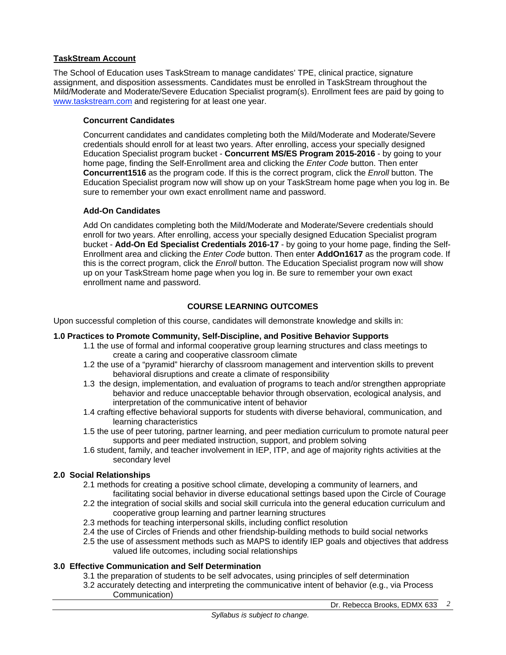### **TaskStream Account**

The School of Education uses TaskStream to manage candidates' TPE, clinical practice, signature assignment, and disposition assessments. Candidates must be enrolled in TaskStream throughout the Mild/Moderate and Moderate/Severe Education Specialist program(s). Enrollment fees are paid by going to www.taskstream.com and registering for at least one year.

### **Concurrent Candidates**

Concurrent candidates and candidates completing both the Mild/Moderate and Moderate/Severe credentials should enroll for at least two years. After enrolling, access your specially designed Education Specialist program bucket - **Concurrent MS/ES Program 2015-2016** - by going to your home page, finding the Self-Enrollment area and clicking the *Enter Code* button. Then enter **Concurrent1516** as the program code. If this is the correct program, click the *Enroll* button. The Education Specialist program now will show up on your TaskStream home page when you log in. Be sure to remember your own exact enrollment name and password.

#### **Add-On Candidates**

Add On candidates completing both the Mild/Moderate and Moderate/Severe credentials should enroll for two years. After enrolling, access your specially designed Education Specialist program bucket - **Add-On Ed Specialist Credentials 2016-17** - by going to your home page, finding the Self-Enrollment area and clicking the *Enter Code* button. Then enter **AddOn1617** as the program code. If this is the correct program, click the *Enroll* button. The Education Specialist program now will show up on your TaskStream home page when you log in. Be sure to remember your own exact enrollment name and password.

### **COURSE LEARNING OUTCOMES**

Upon successful completion of this course, candidates will demonstrate knowledge and skills in:

### **1.0 Practices to Promote Community, Self-Discipline, and Positive Behavior Supports**

- 1.1 the use of formal and informal cooperative group learning structures and class meetings to create a caring and cooperative classroom climate
- 1.2 the use of a "pyramid" hierarchy of classroom management and intervention skills to prevent behavioral disruptions and create a climate of responsibility
- 1.3 the design, implementation, and evaluation of programs to teach and/or strengthen appropriate behavior and reduce unacceptable behavior through observation, ecological analysis, and interpretation of the communicative intent of behavior
- 1.4 crafting effective behavioral supports for students with diverse behavioral, communication, and learning characteristics
- 1.5 the use of peer tutoring, partner learning, and peer mediation curriculum to promote natural peer supports and peer mediated instruction, support, and problem solving
- 1.6 student, family, and teacher involvement in IEP, ITP, and age of majority rights activities at the secondary level

### **2.0 Social Relationships**

- 2.1 methods for creating a positive school climate, developing a community of learners, and facilitating social behavior in diverse educational settings based upon the Circle of Courage
- 2.2 the integration of social skills and social skill curricula into the general education curriculum and cooperative group learning and partner learning structures
- 2.3 methods for teaching interpersonal skills, including conflict resolution
- 2.4 the use of Circles of Friends and other friendship-building methods to build social networks
- 2.5 the use of assessment methods such as MAPS to identify IEP goals and objectives that address valued life outcomes, including social relationships

### **3.0 Effective Communication and Self Determination**

- 3.1 the preparation of students to be self advocates, using principles of self determination
- 3.2 accurately detecting and interpreting the communicative intent of behavior (e.g., via Process Communication)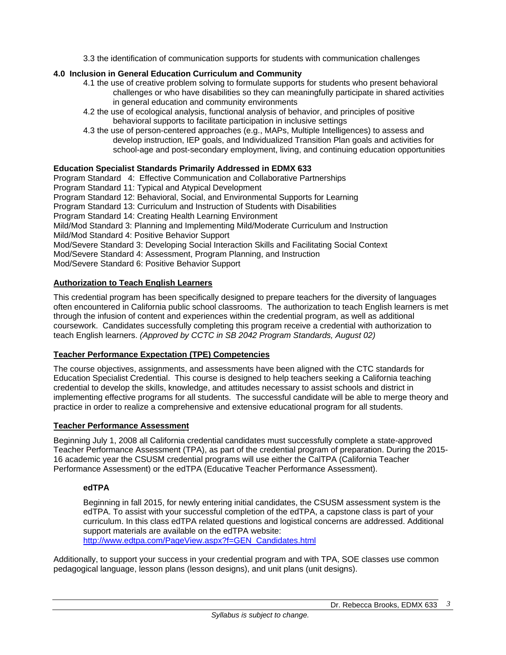3.3 the identification of communication supports for students with communication challenges

# **4.0 Inclusion in General Education Curriculum and Community**

- 4.1 the use of creative problem solving to formulate supports for students who present behavioral challenges or who have disabilities so they can meaningfully participate in shared activities in general education and community environments
- 4.2 the use of ecological analysis, functional analysis of behavior, and principles of positive behavioral supports to facilitate participation in inclusive settings
- 4.3 the use of person-centered approaches (e.g., MAPs, Multiple Intelligences) to assess and develop instruction, IEP goals, and Individualized Transition Plan goals and activities for school-age and post-secondary employment, living, and continuing education opportunities

# **Education Specialist Standards Primarily Addressed in EDMX 633**

Program Standard 4: Effective Communication and Collaborative Partnerships Program Standard 11: Typical and Atypical Development Program Standard 12: Behavioral, Social, and Environmental Supports for Learning Program Standard 13: Curriculum and Instruction of Students with Disabilities Program Standard 14: Creating Health Learning Environment Mild/Mod Standard 3: Planning and Implementing Mild/Moderate Curriculum and Instruction Mild/Mod Standard 4: Positive Behavior Support Mod/Severe Standard 3: Developing Social Interaction Skills and Facilitating Social Context Mod/Severe Standard 4: Assessment, Program Planning, and Instruction Mod/Severe Standard 6: Positive Behavior Support

## **Authorization to Teach English Learners**

This credential program has been specifically designed to prepare teachers for the diversity of languages often encountered in California public school classrooms. The authorization to teach English learners is met through the infusion of content and experiences within the credential program, as well as additional coursework. Candidates successfully completing this program receive a credential with authorization to teach English learners. *(Approved by CCTC in SB 2042 Program Standards, August 02)*

# **Teacher Performance Expectation (TPE) Competencies**

The course objectives, assignments, and assessments have been aligned with the CTC standards for Education Specialist Credential. This course is designed to help teachers seeking a California teaching credential to develop the skills, knowledge, and attitudes necessary to assist schools and district in implementing effective programs for all students. The successful candidate will be able to merge theory and practice in order to realize a comprehensive and extensive educational program for all students.

### **Teacher Performance Assessment**

Beginning July 1, 2008 all California credential candidates must successfully complete a state-approved Teacher Performance Assessment (TPA), as part of the credential program of preparation. During the 2015- 16 academic year the CSUSM credential programs will use either the CalTPA (California Teacher Performance Assessment) or the edTPA (Educative Teacher Performance Assessment).

### **edTPA**

Beginning in fall 2015, for newly entering initial candidates, the CSUSM assessment system is the edTPA. To assist with your successful completion of the edTPA, a capstone class is part of your curriculum. In this class edTPA related questions and logistical concerns are addressed. Additional support materials are available on the edTPA website: http://www.edtpa.com/PageView.aspx?f=GEN\_Candidates.html

Additionally, to support your success in your credential program and with TPA, SOE classes use common pedagogical language, lesson plans (lesson designs), and unit plans (unit designs).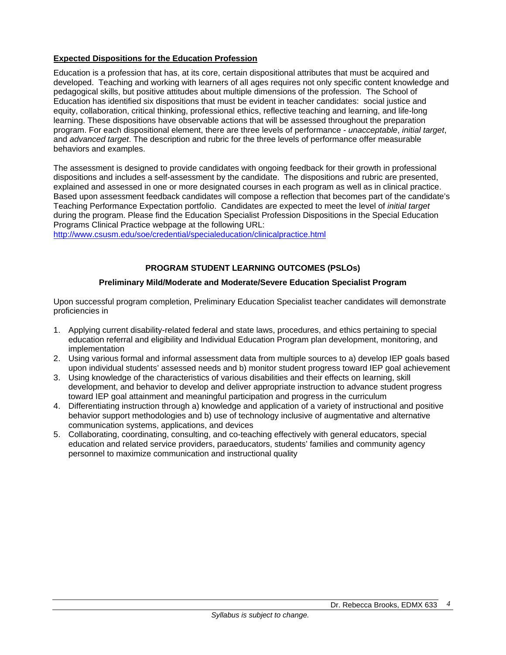## **Expected Dispositions for the Education Profession**

Education is a profession that has, at its core, certain dispositional attributes that must be acquired and developed. Teaching and working with learners of all ages requires not only specific content knowledge and pedagogical skills, but positive attitudes about multiple dimensions of the profession. The School of Education has identified six dispositions that must be evident in teacher candidates: social justice and equity, collaboration, critical thinking, professional ethics, reflective teaching and learning, and life-long learning. These dispositions have observable actions that will be assessed throughout the preparation program. For each dispositional element, there are three levels of performance - *unacceptable*, *initial target*, and *advanced target*. The description and rubric for the three levels of performance offer measurable behaviors and examples.

The assessment is designed to provide candidates with ongoing feedback for their growth in professional dispositions and includes a self-assessment by the candidate. The dispositions and rubric are presented, explained and assessed in one or more designated courses in each program as well as in clinical practice. Based upon assessment feedback candidates will compose a reflection that becomes part of the candidate's Teaching Performance Expectation portfolio. Candidates are expected to meet the level of *initial target* during the program. Please find the Education Specialist Profession Dispositions in the Special Education Programs Clinical Practice webpage at the following URL:

http://www.csusm.edu/soe/credential/specialeducation/clinicalpractice.html

# **PROGRAM STUDENT LEARNING OUTCOMES (PSLOs)**

### **Preliminary Mild/Moderate and Moderate/Severe Education Specialist Program**

Upon successful program completion, Preliminary Education Specialist teacher candidates will demonstrate proficiencies in

- 1. Applying current disability-related federal and state laws, procedures, and ethics pertaining to special education referral and eligibility and Individual Education Program plan development, monitoring, and implementation
- 2. Using various formal and informal assessment data from multiple sources to a) develop IEP goals based upon individual students' assessed needs and b) monitor student progress toward IEP goal achievement
- 3. Using knowledge of the characteristics of various disabilities and their effects on learning, skill development, and behavior to develop and deliver appropriate instruction to advance student progress toward IEP goal attainment and meaningful participation and progress in the curriculum
- 4. Differentiating instruction through a) knowledge and application of a variety of instructional and positive behavior support methodologies and b) use of technology inclusive of augmentative and alternative communication systems, applications, and devices
- 5. Collaborating, coordinating, consulting, and co-teaching effectively with general educators, special education and related service providers, paraeducators, students' families and community agency personnel to maximize communication and instructional quality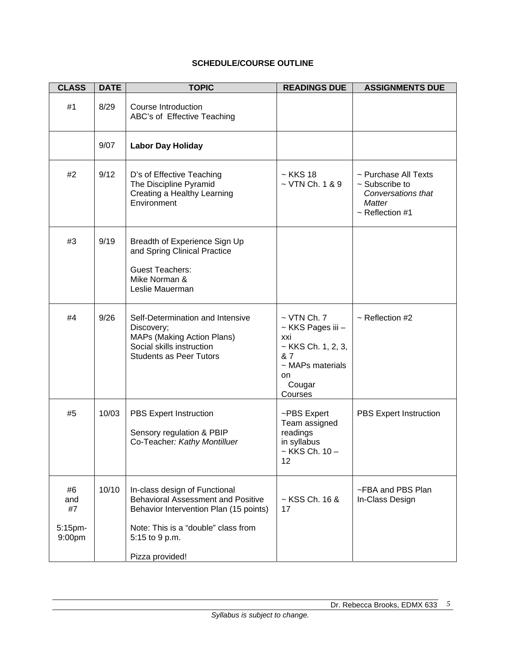# **SCHEDULE/COURSE OUTLINE**

| <b>CLASS</b>                         | <b>DATE</b> | <b>TOPIC</b>                                                                                                                                                                                     | <b>READINGS DUE</b>                                                                                                                 | <b>ASSIGNMENTS DUE</b>                                                                                     |
|--------------------------------------|-------------|--------------------------------------------------------------------------------------------------------------------------------------------------------------------------------------------------|-------------------------------------------------------------------------------------------------------------------------------------|------------------------------------------------------------------------------------------------------------|
| #1                                   | 8/29        | Course Introduction<br>ABC's of Effective Teaching                                                                                                                                               |                                                                                                                                     |                                                                                                            |
|                                      | 9/07        | <b>Labor Day Holiday</b>                                                                                                                                                                         |                                                                                                                                     |                                                                                                            |
| #2                                   | 9/12        | D's of Effective Teaching<br>The Discipline Pyramid<br>Creating a Healthy Learning<br>Environment                                                                                                | $~\sim$ KKS 18<br>$\sim$ VTN Ch. 1 & 9                                                                                              | ~ Purchase All Texts<br>$\sim$ Subscribe to<br>Conversations that<br><b>Matter</b><br>$\sim$ Reflection #1 |
| #3                                   | 9/19        | Breadth of Experience Sign Up<br>and Spring Clinical Practice<br><b>Guest Teachers:</b><br>Mike Norman &<br>Leslie Mauerman                                                                      |                                                                                                                                     |                                                                                                            |
| #4                                   | 9/26        | Self-Determination and Intensive<br>Discovery;<br>MAPs (Making Action Plans)<br>Social skills instruction<br><b>Students as Peer Tutors</b>                                                      | $\sim$ VTN Ch. 7<br>~ KKS Pages iii -<br>xxi<br>$~\sim$ KKS Ch. 1, 2, 3,<br>& 7<br>$\sim$ MAPs materials<br>on<br>Cougar<br>Courses | $\sim$ Reflection #2                                                                                       |
| #5                                   | 10/03       | PBS Expert Instruction<br>Sensory regulation & PBIP<br>Co-Teacher: Kathy Montilluer                                                                                                              | ~PBS Expert<br>Team assigned<br>readings<br>in syllabus<br>~ KKS Ch. 10 -<br>12                                                     | <b>PBS Expert Instruction</b>                                                                              |
| #6<br>and<br>#7<br>5:15pm-<br>9:00pm | 10/10       | In-class design of Functional<br><b>Behavioral Assessment and Positive</b><br>Behavior Intervention Plan (15 points)<br>Note: This is a "double" class from<br>5:15 to 9 p.m.<br>Pizza provided! | $\sim$ KSS Ch. 16 &<br>17                                                                                                           | ~FBA and PBS Plan<br>In-Class Design                                                                       |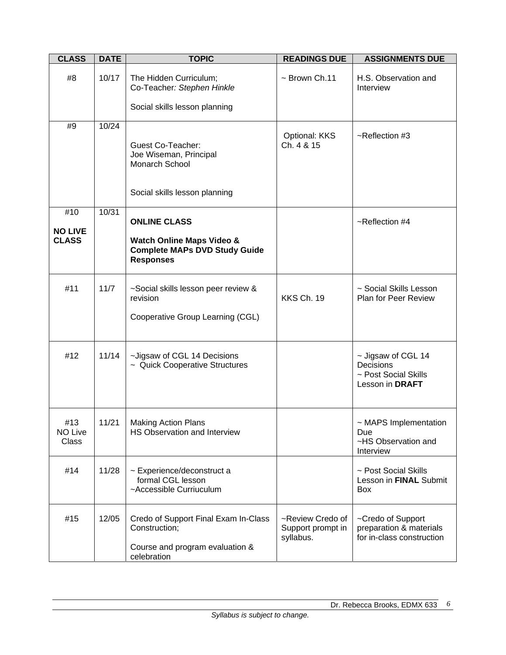| <b>CLASS</b>                   | <b>DATE</b> | <b>TOPIC</b>                                                                                            | <b>READINGS DUE</b>                                | <b>ASSIGNMENTS DUE</b>                                                     |  |
|--------------------------------|-------------|---------------------------------------------------------------------------------------------------------|----------------------------------------------------|----------------------------------------------------------------------------|--|
| #8                             | 10/17       | The Hidden Curriculum;<br>Co-Teacher: Stephen Hinkle                                                    | $\sim$ Brown Ch.11                                 | H.S. Observation and<br>Interview                                          |  |
|                                |             | Social skills lesson planning                                                                           |                                                    |                                                                            |  |
| #9                             | 10/24       | <b>Guest Co-Teacher:</b><br>Joe Wiseman, Principal<br>Monarch School<br>Social skills lesson planning   | Optional: KKS<br>Ch. 4 & 15                        | $\sim$ Reflection #3                                                       |  |
| #10                            | 10/31       | <b>ONLINE CLASS</b>                                                                                     |                                                    | $\sim$ Reflection #4                                                       |  |
| <b>NO LIVE</b><br><b>CLASS</b> |             | <b>Watch Online Maps Video &amp;</b><br><b>Complete MAPs DVD Study Guide</b><br><b>Responses</b>        |                                                    |                                                                            |  |
| #11                            | 11/7        | ~Social skills lesson peer review &<br>revision<br>Cooperative Group Learning (CGL)                     | KKS Ch. 19                                         | ~ Social Skills Lesson<br>Plan for Peer Review                             |  |
| #12                            | 11/14       | ~Jigsaw of CGL 14 Decisions<br>~ Quick Cooperative Structures                                           |                                                    | ~ Jigsaw of CGL 14<br>Decisions<br>~ Post Social Skills<br>Lesson in DRAFT |  |
| #13<br><b>NO Live</b><br>Class | 11/21       | <b>Making Action Plans</b><br>HS Observation and Interview                                              |                                                    | ~ MAPS Implementation<br>Due<br>~HS Observation and<br>Interview           |  |
| #14                            | 11/28       | ~ Experience/deconstruct a<br>formal CGL lesson<br>~Accessible Curriuculum                              |                                                    | ~ Post Social Skills<br>Lesson in FINAL Submit<br><b>Box</b>               |  |
| #15                            | 12/05       | Credo of Support Final Exam In-Class<br>Construction;<br>Course and program evaluation &<br>celebration | ~Review Credo of<br>Support prompt in<br>syllabus. | ~Credo of Support<br>preparation & materials<br>for in-class construction  |  |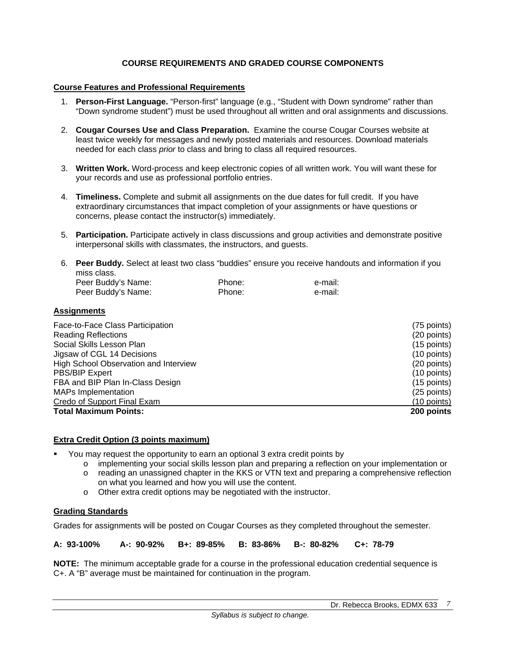## **COURSE REQUIREMENTS AND GRADED COURSE COMPONENTS**

#### **Course Features and Professional Requirements**

- 1. **Person-First Language.** "Person-first" language (e.g., "Student with Down syndrome" rather than "Down syndrome student") must be used throughout all written and oral assignments and discussions.
- 2. **Cougar Courses Use and Class Preparation.** Examine the course Cougar Courses website at least twice weekly for messages and newly posted materials and resources. Download materials needed for each class *prior* to class and bring to class all required resources.
- 3. **Written Work.** Word-process and keep electronic copies of all written work. You will want these for your records and use as professional portfolio entries.
- 4. **Timeliness.** Complete and submit all assignments on the due dates for full credit. If you have extraordinary circumstances that impact completion of your assignments or have questions or concerns, please contact the instructor(s) immediately.
- 5. **Participation.** Participate actively in class discussions and group activities and demonstrate positive interpersonal skills with classmates, the instructors, and guests.
- 6. **Peer Buddy.** Select at least two class "buddies" ensure you receive handouts and information if you miss class.

| Peer Buddy's Name: | Phone: | e-mail: |
|--------------------|--------|---------|
| Peer Buddy's Name: | Phone: | e-mail: |

#### **Assignments**

| Face-to-Face Class Participation      | (75 points)   |
|---------------------------------------|---------------|
| <b>Reading Reflections</b>            | (20 points)   |
| Social Skills Lesson Plan             | $(15$ points) |
| Jigsaw of CGL 14 Decisions            | $(10$ points) |
| High School Observation and Interview | (20 points)   |
| <b>PBS/BIP Expert</b>                 | (10 points)   |
| FBA and BIP Plan In-Class Design      | $(15$ points) |
| <b>MAPs Implementation</b>            | (25 points)   |
| Credo of Support Final Exam           | $(10$ points) |
| <b>Total Maximum Points:</b>          | 200 points    |

### **Extra Credit Option (3 points maximum)**

- You may request the opportunity to earn an optional 3 extra credit points by
	- o implementing your social skills lesson plan and preparing a reflection on your implementation or
	- o reading an unassigned chapter in the KKS or VTN text and preparing a comprehensive reflection on what you learned and how you will use the content.
	- o Other extra credit options may be negotiated with the instructor.

### **Grading Standards**

Grades for assignments will be posted on Cougar Courses as they completed throughout the semester.

**A: 93-100% A-: 90-92% B+: 89-85% B: 83-86% B-: 80-82% C+: 78-79** 

**NOTE:** The minimum acceptable grade for a course in the professional education credential sequence is C+. A "B" average must be maintained for continuation in the program.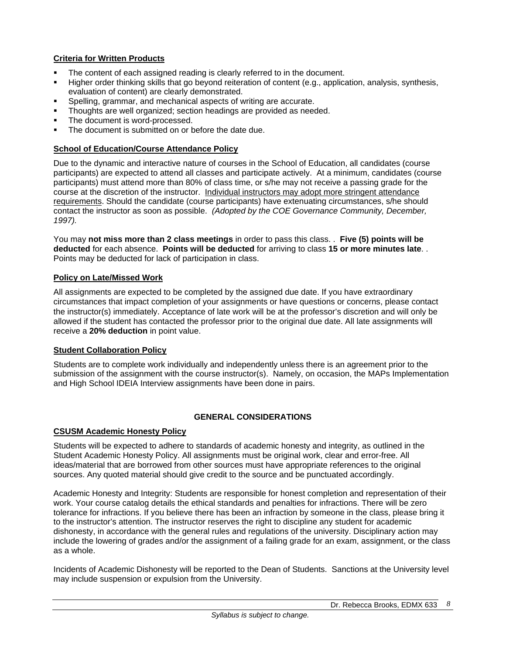# **Criteria for Written Products**

- The content of each assigned reading is clearly referred to in the document.
- Higher order thinking skills that go beyond reiteration of content (e.g., application, analysis, synthesis, evaluation of content) are clearly demonstrated.
- Spelling, grammar, and mechanical aspects of writing are accurate.
- Thoughts are well organized; section headings are provided as needed.
- The document is word-processed.
- The document is submitted on or before the date due.

## **School of Education/Course Attendance Policy**

Due to the dynamic and interactive nature of courses in the School of Education, all candidates (course participants) are expected to attend all classes and participate actively. At a minimum, candidates (course participants) must attend more than 80% of class time, or s/he may not receive a passing grade for the course at the discretion of the instructor. Individual instructors may adopt more stringent attendance requirements. Should the candidate (course participants) have extenuating circumstances, s/he should contact the instructor as soon as possible. *(Adopted by the COE Governance Community, December, 1997).*

You may **not miss more than 2 class meetings** in order to pass this class. . **Five (5) points will be deducted** for each absence. **Points will be deducted** for arriving to class **15 or more minutes late**. . Points may be deducted for lack of participation in class.

## **Policy on Late/Missed Work**

All assignments are expected to be completed by the assigned due date. If you have extraordinary circumstances that impact completion of your assignments or have questions or concerns, please contact the instructor(s) immediately. Acceptance of late work will be at the professor's discretion and will only be allowed if the student has contacted the professor prior to the original due date. All late assignments will receive a **20% deduction** in point value.

### **Student Collaboration Policy**

Students are to complete work individually and independently unless there is an agreement prior to the submission of the assignment with the course instructor(s). Namely, on occasion, the MAPs Implementation and High School IDEIA Interview assignments have been done in pairs.

### **GENERAL CONSIDERATIONS**

### **CSUSM Academic Honesty Policy**

Students will be expected to adhere to standards of academic honesty and integrity, as outlined in the Student Academic Honesty Policy. All assignments must be original work, clear and error-free. All ideas/material that are borrowed from other sources must have appropriate references to the original sources. Any quoted material should give credit to the source and be punctuated accordingly.

Academic Honesty and Integrity: Students are responsible for honest completion and representation of their work. Your course catalog details the ethical standards and penalties for infractions. There will be zero tolerance for infractions. If you believe there has been an infraction by someone in the class, please bring it to the instructor's attention. The instructor reserves the right to discipline any student for academic dishonesty, in accordance with the general rules and regulations of the university. Disciplinary action may include the lowering of grades and/or the assignment of a failing grade for an exam, assignment, or the class as a whole.

Incidents of Academic Dishonesty will be reported to the Dean of Students. Sanctions at the University level may include suspension or expulsion from the University.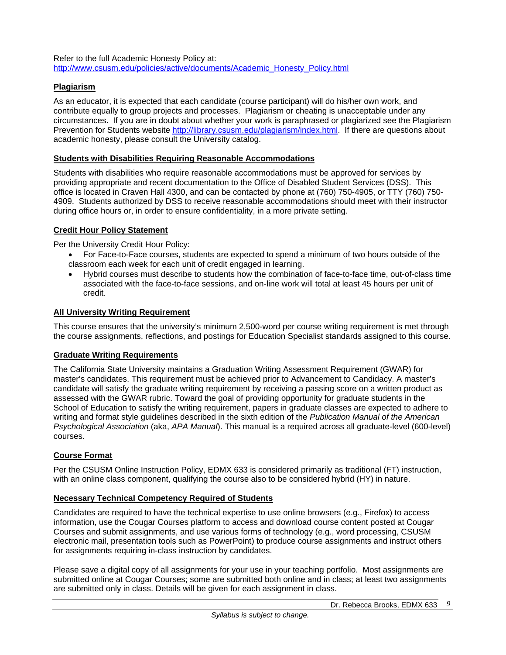Refer to the full Academic Honesty Policy at: http://www.csusm.edu/policies/active/documents/Academic\_Honesty\_Policy.html

## **Plagiarism**

As an educator, it is expected that each candidate (course participant) will do his/her own work, and contribute equally to group projects and processes. Plagiarism or cheating is unacceptable under any circumstances. If you are in doubt about whether your work is paraphrased or plagiarized see the Plagiarism Prevention for Students website http://library.csusm.edu/plagiarism/index.html. If there are questions about academic honesty, please consult the University catalog.

#### **Students with Disabilities Requiring Reasonable Accommodations**

Students with disabilities who require reasonable accommodations must be approved for services by providing appropriate and recent documentation to the Office of Disabled Student Services (DSS). This office is located in Craven Hall 4300, and can be contacted by phone at (760) 750-4905, or TTY (760) 750- 4909. Students authorized by DSS to receive reasonable accommodations should meet with their instructor during office hours or, in order to ensure confidentiality, in a more private setting.

### **Credit Hour Policy Statement**

Per the University Credit Hour Policy:

- For Face-to-Face courses, students are expected to spend a minimum of two hours outside of the classroom each week for each unit of credit engaged in learning.
- Hybrid courses must describe to students how the combination of face-to-face time, out-of-class time associated with the face-to-face sessions, and on-line work will total at least 45 hours per unit of credit.

#### **All University Writing Requirement**

This course ensures that the university's minimum 2,500-word per course writing requirement is met through the course assignments, reflections, and postings for Education Specialist standards assigned to this course.

## **Graduate Writing Requirements**

The California State University maintains a Graduation Writing Assessment Requirement (GWAR) for master's candidates. This requirement must be achieved prior to Advancement to Candidacy. A master's candidate will satisfy the graduate writing requirement by receiving a passing score on a written product as assessed with the GWAR rubric. Toward the goal of providing opportunity for graduate students in the School of Education to satisfy the writing requirement, papers in graduate classes are expected to adhere to writing and format style guidelines described in the sixth edition of the *Publication Manual of the American Psychological Association* (aka, *APA Manual*). This manual is a required across all graduate-level (600-level) courses.

### **Course Format**

Per the CSUSM Online Instruction Policy, EDMX 633 is considered primarily as traditional (FT) instruction, with an online class component, qualifying the course also to be considered hybrid (HY) in nature.

### **Necessary Technical Competency Required of Students**

Candidates are required to have the technical expertise to use online browsers (e.g., Firefox) to access information, use the Cougar Courses platform to access and download course content posted at Cougar Courses and submit assignments, and use various forms of technology (e.g., word processing, CSUSM electronic mail, presentation tools such as PowerPoint) to produce course assignments and instruct others for assignments requiring in-class instruction by candidates.

Please save a digital copy of all assignments for your use in your teaching portfolio. Most assignments are submitted online at Cougar Courses; some are submitted both online and in class; at least two assignments are submitted only in class. Details will be given for each assignment in class.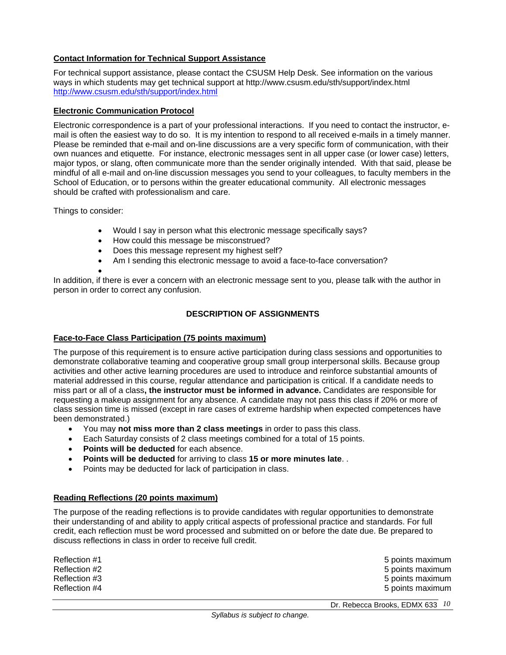## **Contact Information for Technical Support Assistance**

For technical support assistance, please contact the CSUSM Help Desk. See information on the various ways in which students may get technical support at http://www.csusm.edu/sth/support/index.html http://www.csusm.edu/sth/support/index.html

#### **Electronic Communication Protocol**

Electronic correspondence is a part of your professional interactions. If you need to contact the instructor, email is often the easiest way to do so. It is my intention to respond to all received e-mails in a timely manner. Please be reminded that e-mail and on-line discussions are a very specific form of communication, with their own nuances and etiquette. For instance, electronic messages sent in all upper case (or lower case) letters, major typos, or slang, often communicate more than the sender originally intended. With that said, please be mindful of all e-mail and on-line discussion messages you send to your colleagues, to faculty members in the School of Education, or to persons within the greater educational community. All electronic messages should be crafted with professionalism and care.

Things to consider:

- Would I say in person what this electronic message specifically says?
- How could this message be misconstrued?
- Does this message represent my highest self?
- Am I sending this electronic message to avoid a face-to-face conversation?

 $\bullet$ 

In addition, if there is ever a concern with an electronic message sent to you, please talk with the author in person in order to correct any confusion.

## **DESCRIPTION OF ASSIGNMENTS**

### **Face-to-Face Class Participation (75 points maximum)**

The purpose of this requirement is to ensure active participation during class sessions and opportunities to demonstrate collaborative teaming and cooperative group small group interpersonal skills. Because group activities and other active learning procedures are used to introduce and reinforce substantial amounts of material addressed in this course, regular attendance and participation is critical. If a candidate needs to miss part or all of a class**, the instructor must be informed in advance.** Candidates are responsible for requesting a makeup assignment for any absence. A candidate may not pass this class if 20% or more of class session time is missed (except in rare cases of extreme hardship when expected competences have been demonstrated.)

- You may **not miss more than 2 class meetings** in order to pass this class.
- Each Saturday consists of 2 class meetings combined for a total of 15 points.
- **Points will be deducted** for each absence.
- **Points will be deducted** for arriving to class **15 or more minutes late**. .
- Points may be deducted for lack of participation in class.

### **Reading Reflections (20 points maximum)**

The purpose of the reading reflections is to provide candidates with regular opportunities to demonstrate their understanding of and ability to apply critical aspects of professional practice and standards. For full credit, each reflection must be word processed and submitted on or before the date due. Be prepared to discuss reflections in class in order to receive full credit.

| Reflection #1 | 5 points maximum |
|---------------|------------------|
| Reflection #2 | 5 points maximum |
| Reflection #3 | 5 points maximum |
| Reflection #4 | 5 points maximum |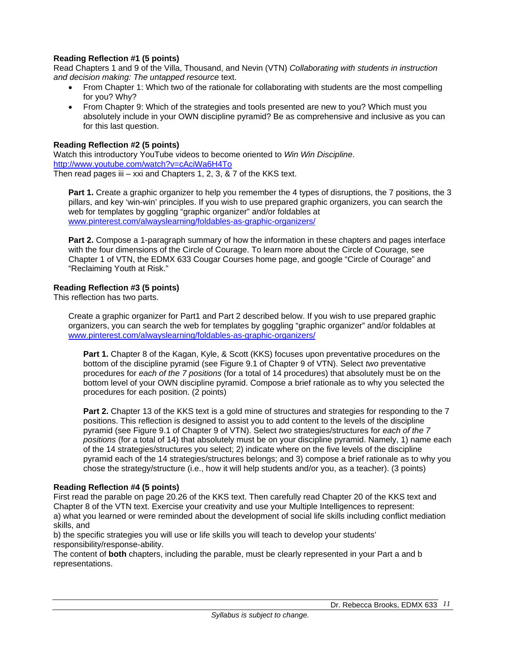### **Reading Reflection #1 (5 points)**

Read Chapters 1 and 9 of the Villa, Thousand, and Nevin (VTN) *Collaborating with students in instruction and decision making: The untapped resource* text.

- From Chapter 1: Which two of the rationale for collaborating with students are the most compelling for you? Why?
- From Chapter 9: Which of the strategies and tools presented are new to you? Which must you absolutely include in your OWN discipline pyramid? Be as comprehensive and inclusive as you can for this last question.

### **Reading Reflection #2 (5 points)**

Watch this introductory YouTube videos to become oriented to *Win Win Discipline*. http://www.youtube.com/watch?v=cAciWa6H4To Then read pages iii – xxi and Chapters 1, 2, 3,  $\&$  7 of the KKS text.

**Part 1.** Create a graphic organizer to help you remember the 4 types of disruptions, the 7 positions, the 3 pillars, and key 'win-win' principles. If you wish to use prepared graphic organizers, you can search the web for templates by goggling "graphic organizer" and/or foldables at www.pinterest.com/alwayslearning/foldables-as-graphic-organizers/

**Part 2.** Compose a 1-paragraph summary of how the information in these chapters and pages interface with the four dimensions of the Circle of Courage. To learn more about the Circle of Courage, see Chapter 1 of VTN, the EDMX 633 Cougar Courses home page, and google "Circle of Courage" and "Reclaiming Youth at Risk."

#### **Reading Reflection #3 (5 points)**

This reflection has two parts.

Create a graphic organizer for Part1 and Part 2 described below. If you wish to use prepared graphic organizers, you can search the web for templates by goggling "graphic organizer" and/or foldables at www.pinterest.com/alwayslearning/foldables-as-graphic-organizers/

**Part 1.** Chapter 8 of the Kagan, Kyle, & Scott (KKS) focuses upon preventative procedures on the bottom of the discipline pyramid (see Figure 9.1 of Chapter 9 of VTN). Select *two* preventative procedures for *each of the 7 positions* (for a total of 14 procedures) that absolutely must be on the bottom level of your OWN discipline pyramid. Compose a brief rationale as to why you selected the procedures for each position. (2 points)

**Part 2.** Chapter 13 of the KKS text is a gold mine of structures and strategies for responding to the 7 positions. This reflection is designed to assist you to add content to the levels of the discipline pyramid (see Figure 9.1 of Chapter 9 of VTN). Select *two* strategies/structures for *each of the 7 positions* (for a total of 14) that absolutely must be on your discipline pyramid. Namely, 1) name each of the 14 strategies/structures you select; 2) indicate where on the five levels of the discipline pyramid each of the 14 strategies/structures belongs; and 3) compose a brief rationale as to why you chose the strategy/structure (i.e., how it will help students and/or you, as a teacher). (3 points)

#### **Reading Reflection #4 (5 points)**

First read the parable on page 20.26 of the KKS text. Then carefully read Chapter 20 of the KKS text and Chapter 8 of the VTN text. Exercise your creativity and use your Multiple Intelligences to represent: a) what you learned or were reminded about the development of social life skills including conflict mediation skills, and

b) the specific strategies you will use or life skills you will teach to develop your students' responsibility/response-ability.

The content of **both** chapters, including the parable, must be clearly represented in your Part a and b representations.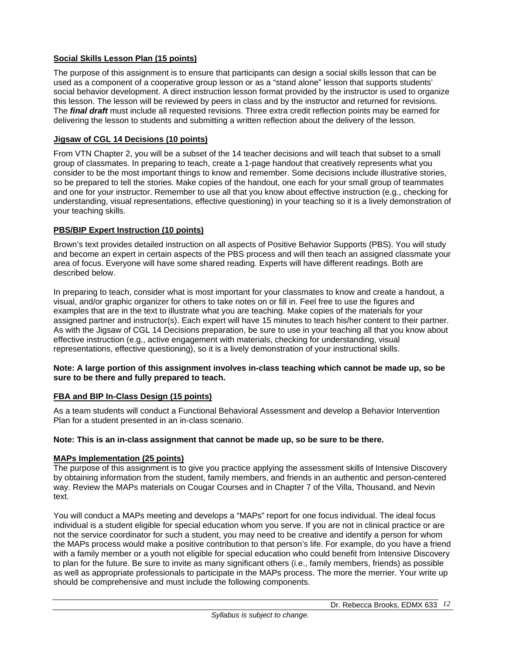## **Social Skills Lesson Plan (15 points)**

The purpose of this assignment is to ensure that participants can design a social skills lesson that can be used as a component of a cooperative group lesson or as a "stand alone" lesson that supports students' social behavior development. A direct instruction lesson format provided by the instructor is used to organize this lesson. The lesson will be reviewed by peers in class and by the instructor and returned for revisions. The *final draft* must include all requested revisions. Three extra credit reflection points may be earned for delivering the lesson to students and submitting a written reflection about the delivery of the lesson.

## **Jigsaw of CGL 14 Decisions (10 points)**

From VTN Chapter 2, you will be a subset of the 14 teacher decisions and will teach that subset to a small group of classmates. In preparing to teach, create a 1-page handout that creatively represents what you consider to be the most important things to know and remember. Some decisions include illustrative stories, so be prepared to tell the stories. Make copies of the handout, one each for your small group of teammates and one for your instructor. Remember to use all that you know about effective instruction (e.g., checking for understanding, visual representations, effective questioning) in your teaching so it is a lively demonstration of your teaching skills.

## **PBS/BIP Expert Instruction (10 points)**

Brown's text provides detailed instruction on all aspects of Positive Behavior Supports (PBS). You will study and become an expert in certain aspects of the PBS process and will then teach an assigned classmate your area of focus. Everyone will have some shared reading. Experts will have different readings. Both are described below.

In preparing to teach, consider what is most important for your classmates to know and create a handout, a visual, and/or graphic organizer for others to take notes on or fill in. Feel free to use the figures and examples that are in the text to illustrate what you are teaching. Make copies of the materials for your assigned partner and instructor(s). Each expert will have 15 minutes to teach his/her content to their partner. As with the Jigsaw of CGL 14 Decisions preparation, be sure to use in your teaching all that you know about effective instruction (e.g., active engagement with materials, checking for understanding, visual representations, effective questioning), so it is a lively demonstration of your instructional skills.

#### **Note: A large portion of this assignment involves in-class teaching which cannot be made up, so be sure to be there and fully prepared to teach.**

### **FBA and BIP In-Class Design (15 points)**

As a team students will conduct a Functional Behavioral Assessment and develop a Behavior Intervention Plan for a student presented in an in-class scenario.

### **Note: This is an in-class assignment that cannot be made up, so be sure to be there.**

### **MAPs Implementation (25 points)**

The purpose of this assignment is to give you practice applying the assessment skills of Intensive Discovery by obtaining information from the student, family members, and friends in an authentic and person-centered way. Review the MAPs materials on Cougar Courses and in Chapter 7 of the Villa, Thousand, and Nevin text.

You will conduct a MAPs meeting and develops a "MAPs" report for one focus individual. The ideal focus individual is a student eligible for special education whom you serve. If you are not in clinical practice or are not the service coordinator for such a student, you may need to be creative and identify a person for whom the MAPs process would make a positive contribution to that person's life. For example, do you have a friend with a family member or a youth not eligible for special education who could benefit from Intensive Discovery to plan for the future. Be sure to invite as many significant others (i.e., family members, friends) as possible as well as appropriate professionals to participate in the MAPs process. The more the merrier. Your write up should be comprehensive and must include the following components.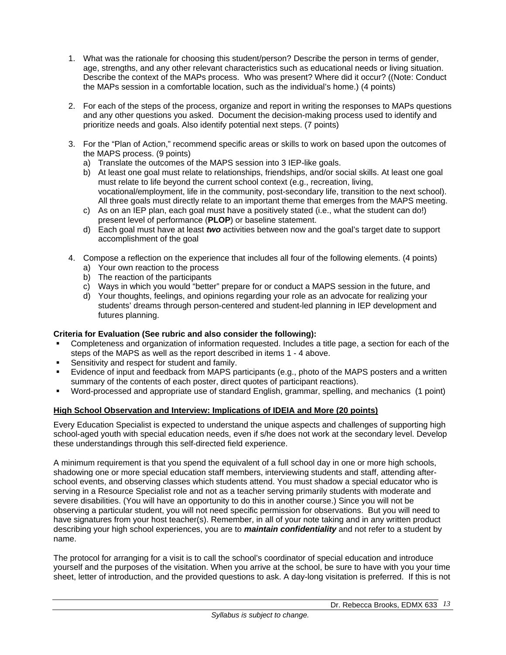- 1. What was the rationale for choosing this student/person? Describe the person in terms of gender, age, strengths, and any other relevant characteristics such as educational needs or living situation. Describe the context of the MAPs process. Who was present? Where did it occur? ((Note: Conduct the MAPs session in a comfortable location, such as the individual's home.) (4 points)
- 2. For each of the steps of the process, organize and report in writing the responses to MAPs questions and any other questions you asked. Document the decision-making process used to identify and prioritize needs and goals. Also identify potential next steps. (7 points)
- 3. For the "Plan of Action," recommend specific areas or skills to work on based upon the outcomes of the MAPS process. (9 points)
	- a) Translate the outcomes of the MAPS session into 3 IEP-like goals.
	- b) At least one goal must relate to relationships, friendships, and/or social skills. At least one goal must relate to life beyond the current school context (e.g., recreation, living, vocational/employment, life in the community, post-secondary life, transition to the next school). All three goals must directly relate to an important theme that emerges from the MAPS meeting.
	- c) As on an IEP plan, each goal must have a positively stated (i.e., what the student can do!) present level of performance (**PLOP**) or baseline statement.
	- d) Each goal must have at least *two* activities between now and the goal's target date to support accomplishment of the goal
- 4. Compose a reflection on the experience that includes all four of the following elements. (4 points)
	- a) Your own reaction to the process
	- b) The reaction of the participants
	- c) Ways in which you would "better" prepare for or conduct a MAPS session in the future, and
	- d) Your thoughts, feelings, and opinions regarding your role as an advocate for realizing your students' dreams through person-centered and student-led planning in IEP development and futures planning.

# **Criteria for Evaluation (See rubric and also consider the following):**

- Completeness and organization of information requested. Includes a title page, a section for each of the steps of the MAPS as well as the report described in items 1 - 4 above.
- Sensitivity and respect for student and family.
- Evidence of input and feedback from MAPS participants (e.g., photo of the MAPS posters and a written summary of the contents of each poster, direct quotes of participant reactions).
- Word-processed and appropriate use of standard English, grammar, spelling, and mechanics (1 point)

### **High School Observation and Interview: Implications of IDEIA and More (20 points)**

Every Education Specialist is expected to understand the unique aspects and challenges of supporting high school-aged youth with special education needs, even if s/he does not work at the secondary level. Develop these understandings through this self-directed field experience.

A minimum requirement is that you spend the equivalent of a full school day in one or more high schools, shadowing one or more special education staff members, interviewing students and staff, attending afterschool events, and observing classes which students attend. You must shadow a special educator who is serving in a Resource Specialist role and not as a teacher serving primarily students with moderate and severe disabilities. (You will have an opportunity to do this in another course.) Since you will not be observing a particular student, you will not need specific permission for observations. But you will need to have signatures from your host teacher(s). Remember, in all of your note taking and in any written product describing your high school experiences, you are to *maintain confidentiality* and not refer to a student by name.

The protocol for arranging for a visit is to call the school's coordinator of special education and introduce yourself and the purposes of the visitation. When you arrive at the school, be sure to have with you your time sheet, letter of introduction, and the provided questions to ask. A day-long visitation is preferred. If this is not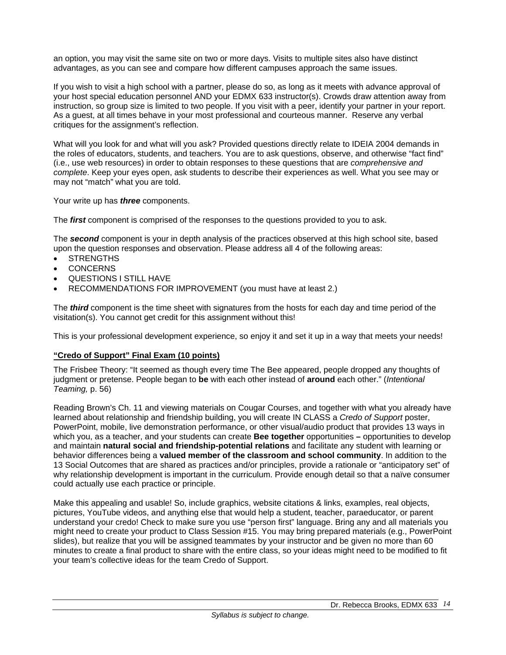an option, you may visit the same site on two or more days. Visits to multiple sites also have distinct advantages, as you can see and compare how different campuses approach the same issues.

If you wish to visit a high school with a partner, please do so, as long as it meets with advance approval of your host special education personnel AND your EDMX 633 instructor(s). Crowds draw attention away from instruction, so group size is limited to two people. If you visit with a peer, identify your partner in your report. As a guest, at all times behave in your most professional and courteous manner. Reserve any verbal critiques for the assignment's reflection.

What will you look for and what will you ask? Provided questions directly relate to IDEIA 2004 demands in the roles of educators, students, and teachers. You are to ask questions, observe, and otherwise "fact find" (i.e., use web resources) in order to obtain responses to these questions that are *comprehensive and complete*. Keep your eyes open, ask students to describe their experiences as well. What you see may or may not "match" what you are told.

Your write up has *three* components.

The *first* component is comprised of the responses to the questions provided to you to ask.

The *second* component is your in depth analysis of the practices observed at this high school site, based upon the question responses and observation. Please address all 4 of the following areas:

- STRENGTHS
- **CONCERNS**
- QUESTIONS I STILL HAVE
- RECOMMENDATIONS FOR IMPROVEMENT (you must have at least 2.)

The *third* component is the time sheet with signatures from the hosts for each day and time period of the visitation(s). You cannot get credit for this assignment without this!

This is your professional development experience, so enjoy it and set it up in a way that meets your needs!

### **"Credo of Support" Final Exam (10 points)**

The Frisbee Theory: "It seemed as though every time The Bee appeared, people dropped any thoughts of judgment or pretense. People began to **be** with each other instead of **around** each other." (*Intentional Teaming,* p. 56)

Reading Brown's Ch. 11 and viewing materials on Cougar Courses, and together with what you already have learned about relationship and friendship building, you will create IN CLASS a *Credo of Support* poster, PowerPoint, mobile, live demonstration performance, or other visual/audio product that provides 13 ways in which you, as a teacher, and your students can create **Bee together** opportunities **–** opportunities to develop and maintain **natural social and friendship-potential relations** and facilitate any student with learning or behavior differences being a **valued member of the classroom and school community**. In addition to the 13 Social Outcomes that are shared as practices and/or principles, provide a rationale or "anticipatory set" of why relationship development is important in the curriculum. Provide enough detail so that a naïve consumer could actually use each practice or principle.

Make this appealing and usable! So, include graphics, website citations & links, examples, real objects, pictures, YouTube videos, and anything else that would help a student, teacher, paraeducator, or parent understand your credo! Check to make sure you use "person first" language. Bring any and all materials you might need to create your product to Class Session #15. You may bring prepared materials (e.g., PowerPoint slides), but realize that you will be assigned teammates by your instructor and be given no more than 60 minutes to create a final product to share with the entire class, so your ideas might need to be modified to fit your team's collective ideas for the team Credo of Support.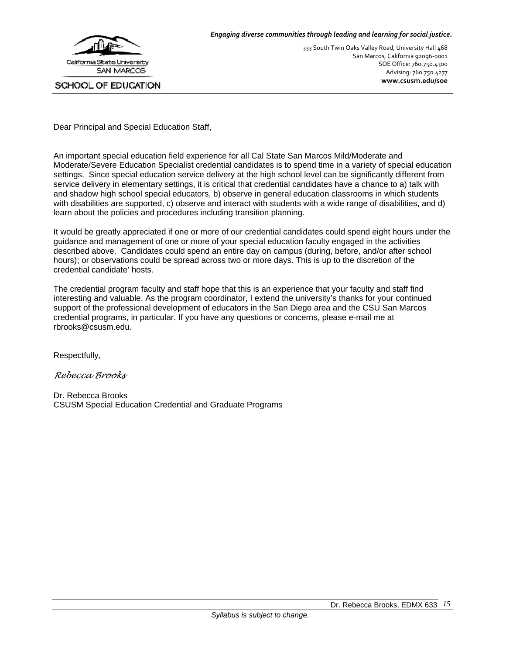

333 South Twin Oaks Valley Road, University Hall 468 San Marcos, California 92096‐0001 SOE Office: 760.750.4300 Advising: 760.750.4277 **www.csusm.edu/soe**

Dear Principal and Special Education Staff,

An important special education field experience for all Cal State San Marcos Mild/Moderate and Moderate/Severe Education Specialist credential candidates is to spend time in a variety of special education settings. Since special education service delivery at the high school level can be significantly different from service delivery in elementary settings, it is critical that credential candidates have a chance to a) talk with and shadow high school special educators, b) observe in general education classrooms in which students with disabilities are supported, c) observe and interact with students with a wide range of disabilities, and d) learn about the policies and procedures including transition planning.

It would be greatly appreciated if one or more of our credential candidates could spend eight hours under the guidance and management of one or more of your special education faculty engaged in the activities described above. Candidates could spend an entire day on campus (during, before, and/or after school hours); or observations could be spread across two or more days. This is up to the discretion of the credential candidate' hosts.

The credential program faculty and staff hope that this is an experience that your faculty and staff find interesting and valuable. As the program coordinator, I extend the university's thanks for your continued support of the professional development of educators in the San Diego area and the CSU San Marcos credential programs, in particular. If you have any questions or concerns, please e-mail me at rbrooks@csusm.edu.

Respectfully,

*Rebecca Brooks* 

Dr. Rebecca Brooks CSUSM Special Education Credential and Graduate Programs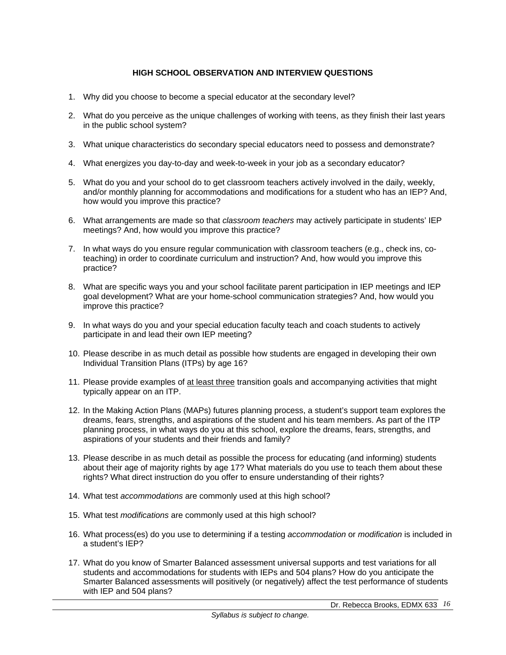## **HIGH SCHOOL OBSERVATION AND INTERVIEW QUESTIONS**

- 1. Why did you choose to become a special educator at the secondary level?
- 2. What do you perceive as the unique challenges of working with teens, as they finish their last years in the public school system?
- 3. What unique characteristics do secondary special educators need to possess and demonstrate?
- 4. What energizes you day-to-day and week-to-week in your job as a secondary educator?
- 5. What do you and your school do to get classroom teachers actively involved in the daily, weekly, and/or monthly planning for accommodations and modifications for a student who has an IEP? And, how would you improve this practice?
- 6. What arrangements are made so that *classroom teachers* may actively participate in students' IEP meetings? And, how would you improve this practice?
- 7. In what ways do you ensure regular communication with classroom teachers (e.g., check ins, coteaching) in order to coordinate curriculum and instruction? And, how would you improve this practice?
- 8. What are specific ways you and your school facilitate parent participation in IEP meetings and IEP goal development? What are your home-school communication strategies? And, how would you improve this practice?
- 9. In what ways do you and your special education faculty teach and coach students to actively participate in and lead their own IEP meeting?
- 10. Please describe in as much detail as possible how students are engaged in developing their own Individual Transition Plans (ITPs) by age 16?
- 11. Please provide examples of at least three transition goals and accompanying activities that might typically appear on an ITP.
- 12. In the Making Action Plans (MAPs) futures planning process, a student's support team explores the dreams, fears, strengths, and aspirations of the student and his team members. As part of the ITP planning process, in what ways do you at this school, explore the dreams, fears, strengths, and aspirations of your students and their friends and family?
- 13. Please describe in as much detail as possible the process for educating (and informing) students about their age of majority rights by age 17? What materials do you use to teach them about these rights? What direct instruction do you offer to ensure understanding of their rights?
- 14. What test *accommodations* are commonly used at this high school?
- 15. What test *modifications* are commonly used at this high school?
- 16. What process(es) do you use to determining if a testing *accommodation* or *modification* is included in a student's IEP?
- 17. What do you know of Smarter Balanced assessment universal supports and test variations for all students and accommodations for students with IEPs and 504 plans? How do you anticipate the Smarter Balanced assessments will positively (or negatively) affect the test performance of students with IEP and 504 plans?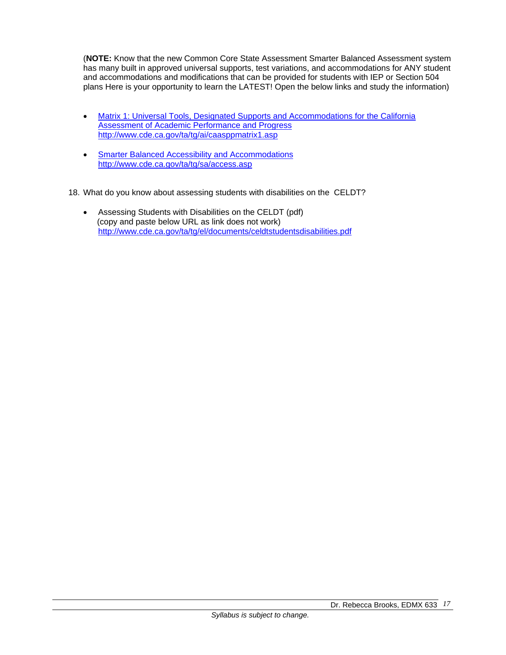(**NOTE:** Know that the new Common Core State Assessment Smarter Balanced Assessment system has many built in approved universal supports, test variations, and accommodations for ANY student and accommodations and modifications that can be provided for students with IEP or Section 504 plans Here is your opportunity to learn the LATEST! Open the below links and study the information)

- Matrix 1: Universal Tools, Designated Supports and Accommodations for the California Assessment of Academic Performance and Progress http://www.cde.ca.gov/ta/tg/ai/caasppmatrix1.asp
- **Smarter Balanced Accessibility and Accommodations** http://www.cde.ca.gov/ta/tg/sa/access.asp
- 18. What do you know about assessing students with disabilities on the CELDT?
	- Assessing Students with Disabilities on the CELDT (pdf) (copy and paste below URL as link does not work) http://www.cde.ca.gov/ta/tg/el/documents/celdtstudentsdisabilities.pdf